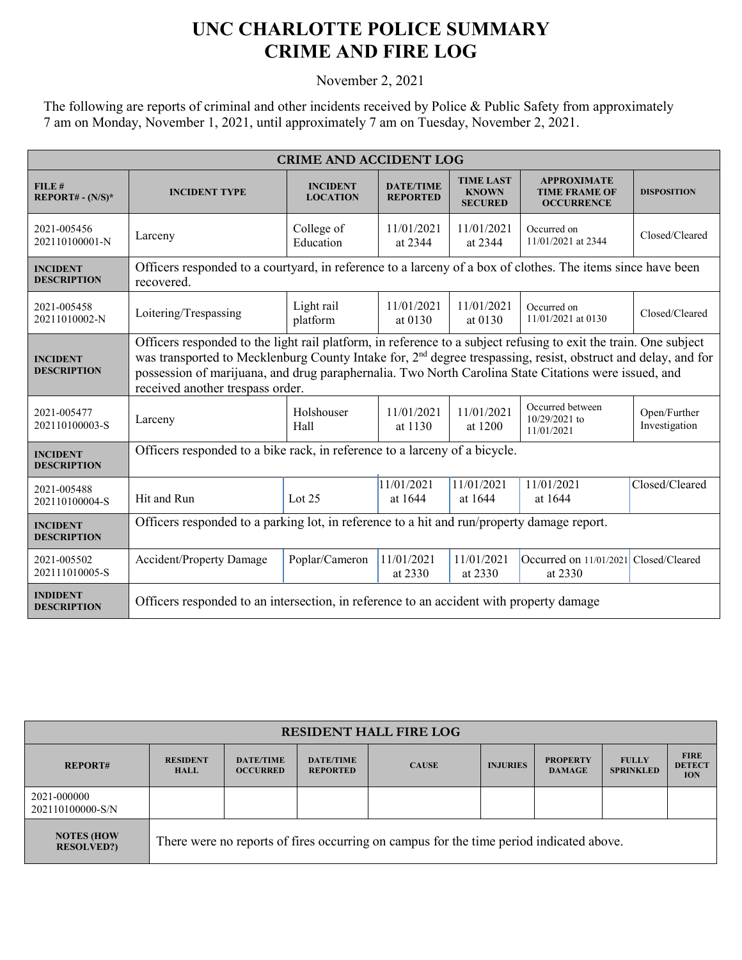## **UNC CHARLOTTE POLICE SUMMARY CRIME AND FIRE LOG**

November 2, 2021

The following are reports of criminal and other incidents received by Police & Public Safety from approximately 7 am on Monday, November 1, 2021, until approximately 7 am on Tuesday, November 2, 2021.

| <b>CRIME AND ACCIDENT LOG</b>         |                                                                                                                                                                                                                                                                                                                                                                                           |                                    |                                     |                                                    |                                                                 |                               |  |
|---------------------------------------|-------------------------------------------------------------------------------------------------------------------------------------------------------------------------------------------------------------------------------------------------------------------------------------------------------------------------------------------------------------------------------------------|------------------------------------|-------------------------------------|----------------------------------------------------|-----------------------------------------------------------------|-------------------------------|--|
| FILE#<br>$REPORT# - (N/S)*$           | <b>INCIDENT TYPE</b>                                                                                                                                                                                                                                                                                                                                                                      | <b>INCIDENT</b><br><b>LOCATION</b> | <b>DATE/TIME</b><br><b>REPORTED</b> | <b>TIME LAST</b><br><b>KNOWN</b><br><b>SECURED</b> | <b>APPROXIMATE</b><br><b>TIME FRAME OF</b><br><b>OCCURRENCE</b> | <b>DISPOSITION</b>            |  |
| 2021-005456<br>202110100001-N         | Larceny                                                                                                                                                                                                                                                                                                                                                                                   | College of<br>Education            | 11/01/2021<br>at 2344               | 11/01/2021<br>at 2344                              | Occurred on<br>11/01/2021 at 2344                               | Closed/Cleared                |  |
| <b>INCIDENT</b><br><b>DESCRIPTION</b> | Officers responded to a courtyard, in reference to a larceny of a box of clothes. The items since have been<br>recovered.                                                                                                                                                                                                                                                                 |                                    |                                     |                                                    |                                                                 |                               |  |
| 2021-005458<br>20211010002-N          | Loitering/Trespassing                                                                                                                                                                                                                                                                                                                                                                     | Light rail<br>platform             | 11/01/2021<br>at $0130$             | 11/01/2021<br>at 0130                              | Occurred on<br>11/01/2021 at 0130                               | Closed/Cleared                |  |
| <b>INCIDENT</b><br><b>DESCRIPTION</b> | Officers responded to the light rail platform, in reference to a subject refusing to exit the train. One subject<br>was transported to Mecklenburg County Intake for, 2 <sup>nd</sup> degree trespassing, resist, obstruct and delay, and for<br>possession of marijuana, and drug paraphernalia. Two North Carolina State Citations were issued, and<br>received another trespass order. |                                    |                                     |                                                    |                                                                 |                               |  |
| 2021-005477<br>202110100003-S         | Larceny                                                                                                                                                                                                                                                                                                                                                                                   | Holshouser<br>Hall                 | 11/01/2021<br>at 1130               | 11/01/2021<br>at 1200                              | Occurred between<br>10/29/2021 to<br>11/01/2021                 | Open/Further<br>Investigation |  |
| <b>INCIDENT</b><br><b>DESCRIPTION</b> | Officers responded to a bike rack, in reference to a larceny of a bicycle.                                                                                                                                                                                                                                                                                                                |                                    |                                     |                                                    |                                                                 |                               |  |
| 2021-005488<br>202110100004-S         | Hit and Run                                                                                                                                                                                                                                                                                                                                                                               | Lot $25$                           | 11/01/2021<br>at 1644               | 11/01/2021<br>at 1644                              | 11/01/2021<br>at 1644                                           | Closed/Cleared                |  |
| <b>INCIDENT</b><br><b>DESCRIPTION</b> | Officers responded to a parking lot, in reference to a hit and run/property damage report.                                                                                                                                                                                                                                                                                                |                                    |                                     |                                                    |                                                                 |                               |  |
| 2021-005502<br>202111010005-S         | <b>Accident/Property Damage</b>                                                                                                                                                                                                                                                                                                                                                           | Poplar/Cameron                     | 11/01/2021<br>at 2330               | 11/01/2021<br>at 2330                              | Occurred on 11/01/2021 Closed/Cleared<br>at 2330                |                               |  |
| <b>INDIDENT</b><br><b>DESCRIPTION</b> | Officers responded to an intersection, in reference to an accident with property damage                                                                                                                                                                                                                                                                                                   |                                    |                                     |                                                    |                                                                 |                               |  |

| <b>RESIDENT HALL FIRE LOG</b>          |                                                                                         |                                     |                                     |              |                 |                                  |                                  |                                            |
|----------------------------------------|-----------------------------------------------------------------------------------------|-------------------------------------|-------------------------------------|--------------|-----------------|----------------------------------|----------------------------------|--------------------------------------------|
| <b>REPORT#</b>                         | <b>RESIDENT</b><br><b>HALL</b>                                                          | <b>DATE/TIME</b><br><b>OCCURRED</b> | <b>DATE/TIME</b><br><b>REPORTED</b> | <b>CAUSE</b> | <b>INJURIES</b> | <b>PROPERTY</b><br><b>DAMAGE</b> | <b>FULLY</b><br><b>SPRINKLED</b> | <b>FIRE</b><br><b>DETECT</b><br><b>ION</b> |
| 2021-000000<br>202110100000-S/N        |                                                                                         |                                     |                                     |              |                 |                                  |                                  |                                            |
| <b>NOTES (HOW</b><br><b>RESOLVED?)</b> | There were no reports of fires occurring on campus for the time period indicated above. |                                     |                                     |              |                 |                                  |                                  |                                            |